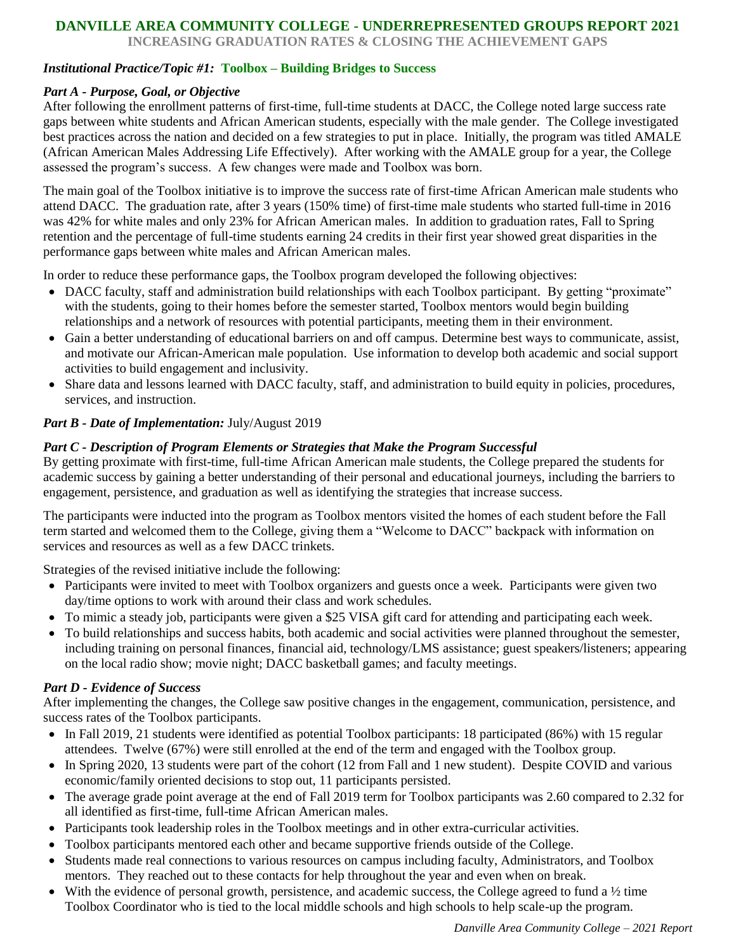### **DANVILLE AREA COMMUNITY COLLEGE - UNDERREPRESENTED GROUPS REPORT 2021**

**INCREASING GRADUATION RATES & CLOSING THE ACHIEVEMENT GAPS**

#### *Institutional Practice/Topic #1:* **Toolbox – Building Bridges to Success**

#### *Part A - Purpose, Goal, or Objective*

After following the enrollment patterns of first-time, full-time students at DACC, the College noted large success rate gaps between white students and African American students, especially with the male gender. The College investigated best practices across the nation and decided on a few strategies to put in place. Initially, the program was titled AMALE (African American Males Addressing Life Effectively). After working with the AMALE group for a year, the College assessed the program's success. A few changes were made and Toolbox was born.

The main goal of the Toolbox initiative is to improve the success rate of first-time African American male students who attend DACC. The graduation rate, after 3 years (150% time) of first-time male students who started full-time in 2016 was 42% for white males and only 23% for African American males. In addition to graduation rates, Fall to Spring retention and the percentage of full-time students earning 24 credits in their first year showed great disparities in the performance gaps between white males and African American males.

In order to reduce these performance gaps, the Toolbox program developed the following objectives:

- DACC faculty, staff and administration build relationships with each Toolbox participant. By getting "proximate" with the students, going to their homes before the semester started, Toolbox mentors would begin building relationships and a network of resources with potential participants, meeting them in their environment.
- Gain a better understanding of educational barriers on and off campus. Determine best ways to communicate, assist, and motivate our African-American male population. Use information to develop both academic and social support activities to build engagement and inclusivity.
- Share data and lessons learned with DACC faculty, staff, and administration to build equity in policies, procedures, services, and instruction.

### *Part B - Date of Implementation:* July/August 2019

#### *Part C - Description of Program Elements or Strategies that Make the Program Successful*

By getting proximate with first-time, full-time African American male students, the College prepared the students for academic success by gaining a better understanding of their personal and educational journeys, including the barriers to engagement, persistence, and graduation as well as identifying the strategies that increase success.

The participants were inducted into the program as Toolbox mentors visited the homes of each student before the Fall term started and welcomed them to the College, giving them a "Welcome to DACC" backpack with information on services and resources as well as a few DACC trinkets.

Strategies of the revised initiative include the following:

- Participants were invited to meet with Toolbox organizers and guests once a week. Participants were given two day/time options to work with around their class and work schedules.
- To mimic a steady job, participants were given a \$25 VISA gift card for attending and participating each week.
- To build relationships and success habits, both academic and social activities were planned throughout the semester, including training on personal finances, financial aid, technology/LMS assistance; guest speakers/listeners; appearing on the local radio show; movie night; DACC basketball games; and faculty meetings.

#### *Part D - Evidence of Success*

After implementing the changes, the College saw positive changes in the engagement, communication, persistence, and success rates of the Toolbox participants.

- In Fall 2019, 21 students were identified as potential Toolbox participants: 18 participated (86%) with 15 regular attendees. Twelve (67%) were still enrolled at the end of the term and engaged with the Toolbox group.
- In Spring 2020, 13 students were part of the cohort (12 from Fall and 1 new student). Despite COVID and various economic/family oriented decisions to stop out, 11 participants persisted.
- The average grade point average at the end of Fall 2019 term for Toolbox participants was 2.60 compared to 2.32 for all identified as first-time, full-time African American males.
- Participants took leadership roles in the Toolbox meetings and in other extra-curricular activities.
- Toolbox participants mentored each other and became supportive friends outside of the College.
- Students made real connections to various resources on campus including faculty, Administrators, and Toolbox mentors. They reached out to these contacts for help throughout the year and even when on break.
- $\bullet$  With the evidence of personal growth, persistence, and academic success, the College agreed to fund a  $\frac{1}{2}$  time Toolbox Coordinator who is tied to the local middle schools and high schools to help scale-up the program.